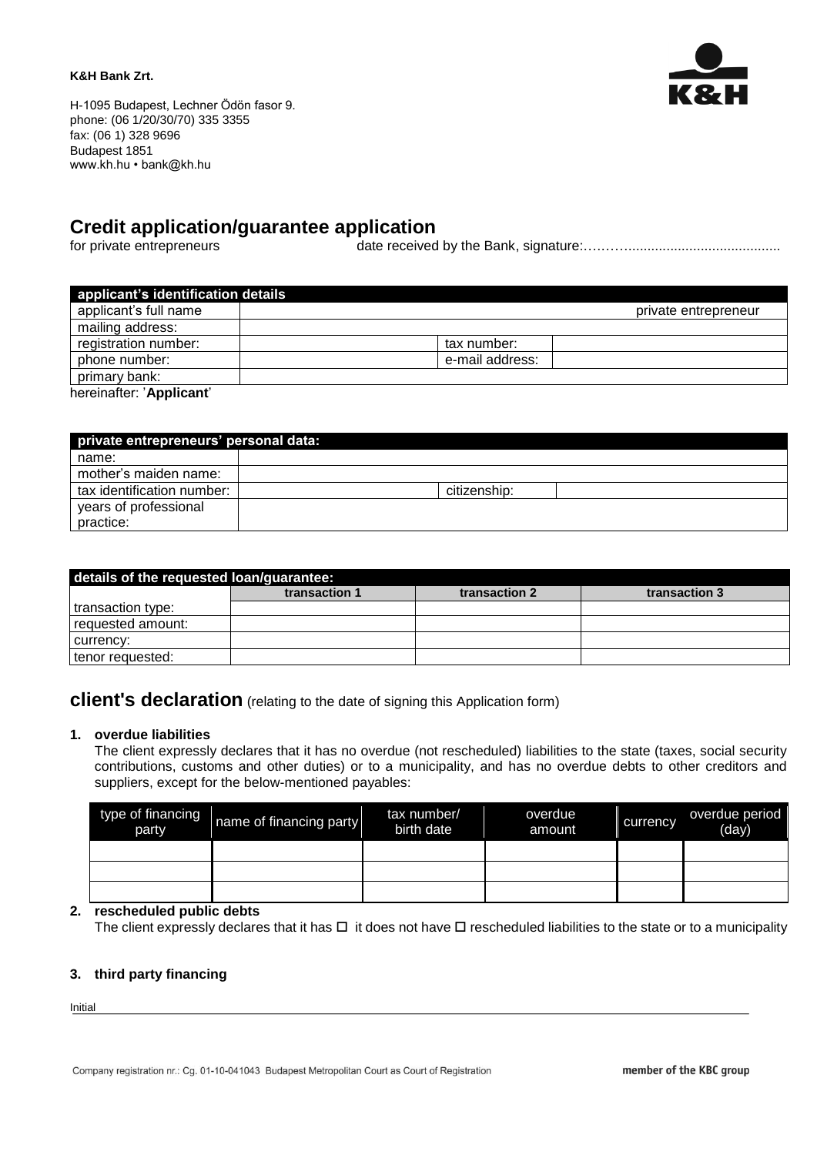#### **K&H Bank Zrt.**



H-1095 Budapest, Lechner Ödön fasor 9. phone: (06 1/20/30/70) 335 3355 fax: (06 1) 328 9696 Budapest 1851 www.kh.hu • bank@kh.hu

## **Credit application/guarantee application**

for private entrepreneurs date received by the Bank, signature:….……........................................

| applicant's identification details |                      |  |
|------------------------------------|----------------------|--|
| applicant's full name              | private entrepreneur |  |
| mailing address:                   |                      |  |
| registration number:               | tax number:          |  |
| phone number:                      | e-mail address:      |  |
| primary bank:                      |                      |  |
| hereinafter: 'Applicant'           |                      |  |

| private entrepreneurs' personal data: |              |  |  |  |
|---------------------------------------|--------------|--|--|--|
| name:                                 |              |  |  |  |
| mother's maiden name:                 |              |  |  |  |
| tax identification number:            | citizenship: |  |  |  |
| years of professional                 |              |  |  |  |
| practice:                             |              |  |  |  |

| details of the requested loan/guarantee: |               |               |               |  |  |
|------------------------------------------|---------------|---------------|---------------|--|--|
|                                          | transaction 1 | transaction 2 | transaction 3 |  |  |
| transaction type:                        |               |               |               |  |  |
| requested amount:                        |               |               |               |  |  |
| currency:                                |               |               |               |  |  |
| tenor requested:                         |               |               |               |  |  |

# **client's declaration** (relating to the date of signing this Application form)

#### **1. overdue liabilities**

The client expressly declares that it has no overdue (not rescheduled) liabilities to the state (taxes, social security contributions, customs and other duties) or to a municipality, and has no overdue debts to other creditors and suppliers, except for the below-mentioned payables:

| type of financing<br>party | name of financing party | tax number/<br>birth date | overdue<br>amount | currency | overdue period<br>(day) |
|----------------------------|-------------------------|---------------------------|-------------------|----------|-------------------------|
|                            |                         |                           |                   |          |                         |
|                            |                         |                           |                   |          |                         |
|                            |                         |                           |                   |          |                         |

#### **2. rescheduled public debts**

The client expressly declares that it has  $\Box$  it does not have  $\Box$  rescheduled liabilities to the state or to a municipality

## **3. third party financing**

Initial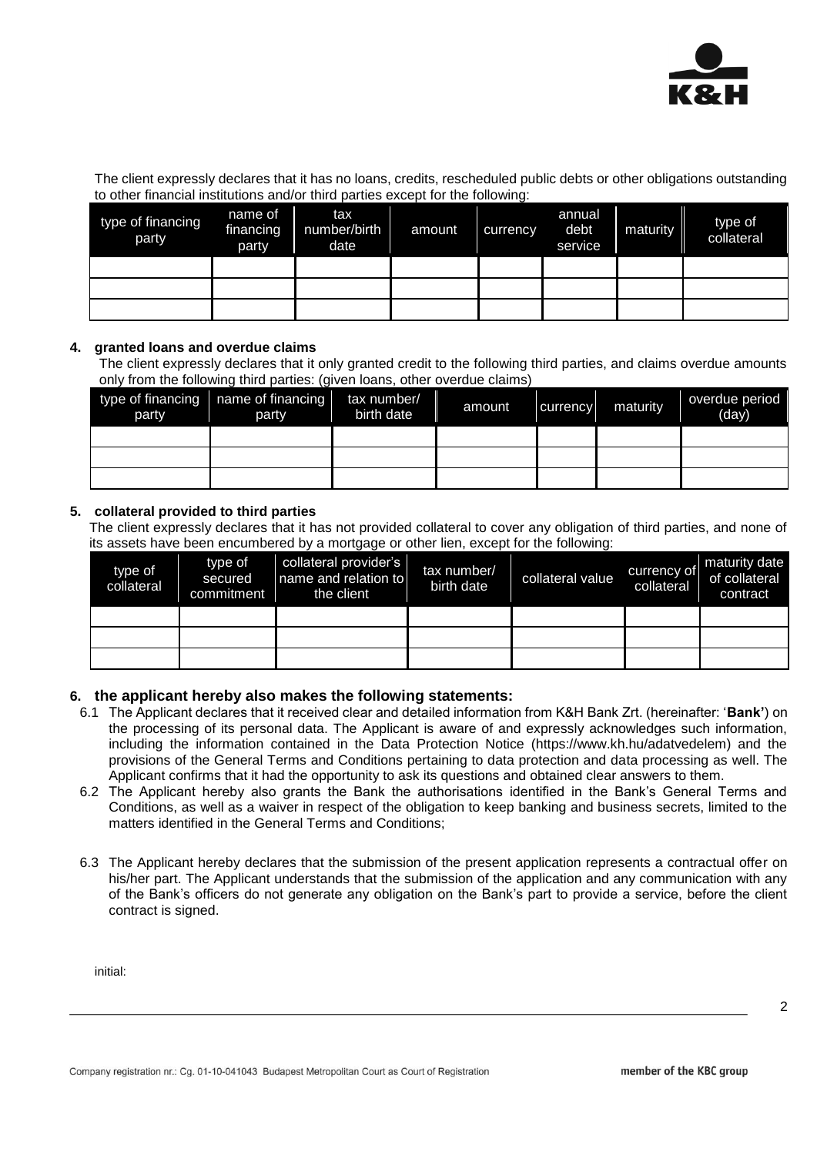

The client expressly declares that it has no loans, credits, rescheduled public debts or other obligations outstanding to other financial institutions and/or third parties except for the following:

| type of financing<br>party | name of<br>financing<br>party | tax<br>number/birth<br>date | amount | currency | annual<br>debt<br>service | maturity | type of<br>collateral |
|----------------------------|-------------------------------|-----------------------------|--------|----------|---------------------------|----------|-----------------------|
|                            |                               |                             |        |          |                           |          |                       |
|                            |                               |                             |        |          |                           |          |                       |
|                            |                               |                             |        |          |                           |          |                       |

### **4. granted loans and overdue claims**

The client expressly declares that it only granted credit to the following third parties, and claims overdue amounts only from the following third parties: (given loans, other overdue claims)

| party | type of financing $\sqrt{ }$ name of financing<br>party | tax number/<br>birth date | amount | currency | maturity | overdue period<br>(day) |
|-------|---------------------------------------------------------|---------------------------|--------|----------|----------|-------------------------|
|       |                                                         |                           |        |          |          |                         |
|       |                                                         |                           |        |          |          |                         |
|       |                                                         |                           |        |          |          |                         |

### **5. collateral provided to third parties**

The client expressly declares that it has not provided collateral to cover any obligation of third parties, and none of its assets have been encumbered by a mortgage or other lien, except for the following:

| type of<br>collateral | type of<br>secured<br>commitment | collateral provider's<br>name and relation to<br>the client | tax number/<br>birth date | collateral value | currency of<br>collateral | maturity date<br>of collateral<br>contract |
|-----------------------|----------------------------------|-------------------------------------------------------------|---------------------------|------------------|---------------------------|--------------------------------------------|
|                       |                                  |                                                             |                           |                  |                           |                                            |
|                       |                                  |                                                             |                           |                  |                           |                                            |
|                       |                                  |                                                             |                           |                  |                           |                                            |

## **6. the applicant hereby also makes the following statements:**

- 6.1 The Applicant declares that it received clear and detailed information from K&H Bank Zrt. (hereinafter: '**Bank'**) on the processing of its personal data. The Applicant is aware of and expressly acknowledges such information, including the information contained in the Data Protection Notice (https://www.kh.hu/adatvedelem) and the provisions of the General Terms and Conditions pertaining to data protection and data processing as well. The Applicant confirms that it had the opportunity to ask its questions and obtained clear answers to them.
- 6.2 The Applicant hereby also grants the Bank the authorisations identified in the Bank's General Terms and Conditions, as well as a waiver in respect of the obligation to keep banking and business secrets, limited to the matters identified in the General Terms and Conditions;
- 6.3 The Applicant hereby declares that the submission of the present application represents a contractual offer on his/her part. The Applicant understands that the submission of the application and any communication with any of the Bank's officers do not generate any obligation on the Bank's part to provide a service, before the client contract is signed.

initial: